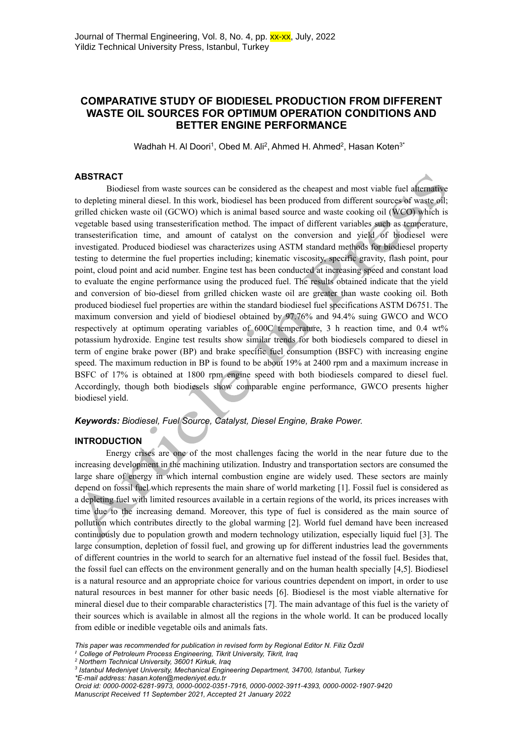# **COMPARATIVE STUDY OF BIODIESEL PRODUCTION FROM DIFFERENT WASTE OIL SOURCES FOR OPTIMUM OPERATION CONDITIONS AND BETTER ENGINE PERFORMANCE**

Wadhah H. Al Doori<sup>1</sup>, Obed M. Ali<sup>2</sup>, Ahmed H. Ahmed<sup>2</sup>, Hasan Koten $3^*$ 

# **ABSTRACT**

Biodiesel from waste sources can be considered as the cheapest and most viable fuel alternative to depleting mineral diesel. In this work, biodiesel has been produced from different sources of waste oil; grilled chicken waste oil (GCWO) which is animal based source and waste cooking oil (WCO) which is vegetable based using transesterification method. The impact of different variables such as temperature, transesterification time, and amount of catalyst on the conversion and yield of biodiesel were investigated. Produced biodiesel was characterizes using ASTM standard methods for biodiesel property testing to determine the fuel properties including; kinematic viscosity, specific gravity, flash point, pour point, cloud point and acid number. Engine test has been conducted at increasing speed and constant load to evaluate the engine performance using the produced fuel. The results obtained indicate that the yield and conversion of bio-diesel from grilled chicken waste oil are greater than waste cooking oil. Both produced biodiesel fuel properties are within the standard biodiesel fuel specifications ASTM D6751. The maximum conversion and yield of biodiesel obtained by 97.76% and 94.4% suing GWCO and WCO respectively at optimum operating variables of 600C temperature, 3 h reaction time, and 0.4 wt% potassium hydroxide. Engine test results show similar trends for both biodiesels compared to diesel in term of engine brake power (BP) and brake specific fuel consumption (BSFC) with increasing engine speed. The maximum reduction in BP is found to be about 19% at 2400 rpm and a maximum increase in BSFC of 17% is obtained at 1800 rpm engine speed with both biodiesels compared to diesel fuel. Accordingly, though both biodiesels show comparable engine performance, GWCO presents higher biodiesel yield.

# *Keywords: Biodiesel, Fuel Source, Catalyst, Diesel Engine, Brake Power.*

## **INTRODUCTION**

Energy crises are one of the most challenges facing the world in the near future due to the increasing development in the machining utilization. Industry and transportation sectors are consumed the large share of energy in which internal combustion engine are widely used. These sectors are mainly depend on fossil fuel which represents the main share of world marketing [1]. Fossil fuel is considered as a depleting fuel with limited resources available in a certain regions of the world, its prices increases with time due to the increasing demand. Moreover, this type of fuel is considered as the main source of pollution which contributes directly to the global warming [2]. World fuel demand have been increased continuously due to population growth and modern technology utilization, especially liquid fuel [3]. The large consumption, depletion of fossil fuel, and growing up for different industries lead the governments of different countries in the world to search for an alternative fuel instead of the fossil fuel. Besides that, the fossil fuel can effects on the environment generally and on the human health specially [4,5]. Biodiesel is a natural resource and an appropriate choice for various countries dependent on import, in order to use natural resources in best manner for other basic needs [6]. Biodiesel is the most viable alternative for mineral diesel due to their comparable characteristics [7]. The main advantage of this fuel is the variety of their sources which is available in almost all the regions in the whole world. It can be produced locally from edible or inedible vegetable oils and animals fats.

*<sup>1</sup> College of Petroleum Process Engineering, Tikrit University, Tikrit, Iraq*

*This paper was recommended for publication in revised form by Regional Editor N. Filiz Özdil*

*<sup>2</sup> Northern Technical University, 36001 Kirkuk, Iraq*

*<sup>3</sup> Istanbul Medeniyet University, Mechanical Engineering Department, 34700, Istanbul, Turkey \*E-mail address: [hasan.koten@medeniyet.edu.tr](mailto:hasan.koten@medeniyet.edu.tr)*

*Orcid id: 0000-0002-6281-9973, 0000-0002-0351-7916, 0000-0002-3911-4393, 0000-0002-1907-9420 Manuscript Received 11 September 2021, Accepted 21 January 2022*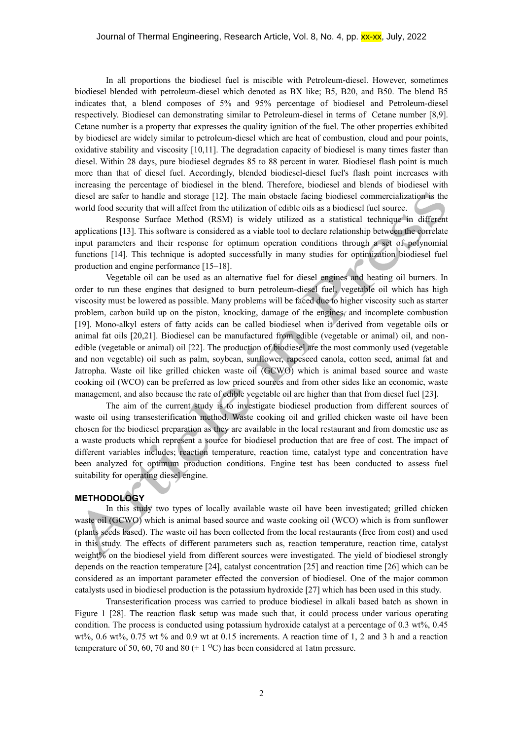In all proportions the biodiesel fuel is miscible with Petroleum-diesel. However, sometimes biodiesel blended with petroleum-diesel which denoted as BX like; B5, B20, and B50. The blend B5 indicates that, a blend composes of 5% and 95% percentage of biodiesel and Petroleum-diesel respectively. Biodiesel can demonstrating similar to Petroleum-diesel in terms of Cetane number [8,9]. Cetane number is a property that expresses the quality ignition of the fuel. The other properties exhibited by biodiesel are widely similar to petroleum-diesel which are heat of combustion, cloud and pour points, oxidative stability and viscosity [10,11]. The degradation capacity of biodiesel is many times faster than diesel. Within 28 days, pure biodiesel degrades 85 to 88 percent in water. Biodiesel flash point is much more than that of diesel fuel. Accordingly, blended biodiesel-diesel fuel's flash point increases with increasing the percentage of biodiesel in the blend. Therefore, biodiesel and blends of biodiesel with diesel are safer to handle and storage [12]. The main obstacle facing biodiesel commercialization is the world food security that will affect from the utilization of edible oils as a biodiesel fuel source.

Response Surface Method (RSM) is widely utilized as a statistical technique in different applications [13]. This software is considered as a viable tool to declare relationship between the correlate input parameters and their response for optimum operation conditions through a set of polynomial functions [14]. This technique is adopted successfully in many studies for optimization biodiesel fuel production and engine performance [15–18].

Vegetable oil can be used as an alternative fuel for diesel engines and heating oil burners. In order to run these engines that designed to burn petroleum-diesel fuel, vegetable oil which has high viscosity must be lowered as possible. Many problems will be faced due to higher viscosity such as starter problem, carbon build up on the piston, knocking, damage of the engines, and incomplete combustion [19]. Mono-alkyl esters of fatty acids can be called biodiesel when it derived from vegetable oils or animal fat oils [20,21]. Biodiesel can be manufactured from edible (vegetable or animal) oil, and nonedible (vegetable or animal) oil [22]. The production of biodiesel are the most commonly used (vegetable and non vegetable) oil such as palm, soybean, sunflower, rapeseed canola, cotton seed, animal fat and Jatropha. Waste oil like grilled chicken waste oil (GCWO) which is animal based source and waste cooking oil (WCO) can be preferred as low priced sources and from other sides like an economic, waste management, and also because the rate of edible vegetable oil are higher than that from diesel fuel [23].

The aim of the current study is to investigate biodiesel production from different sources of waste oil using transesterification method. Waste cooking oil and grilled chicken waste oil have been chosen for the biodiesel preparation as they are available in the local restaurant and from domestic use as a waste products which represent a source for biodiesel production that are free of cost. The impact of different variables includes; reaction temperature, reaction time, catalyst type and concentration have been analyzed for optimum production conditions. Engine test has been conducted to assess fuel suitability for operating diesel engine.

#### **METHODOLOGY**

In this study two types of locally available waste oil have been investigated; grilled chicken waste oil (GCWO) which is animal based source and waste cooking oil (WCO) which is from sunflower (plants seeds based). The waste oil has been collected from the local restaurants (free from cost) and used in this study. The effects of different parameters such as, reaction temperature, reaction time, catalyst weight% on the biodiesel yield from different sources were investigated. The yield of biodiesel strongly depends on the reaction temperature [24], catalyst concentration [25] and reaction time [26] which can be considered as an important parameter effected the conversion of biodiesel. One of the major common catalysts used in biodiesel production is the potassium hydroxide [27] which has been used in this study.

Transesterification process was carried to produce biodiesel in alkali based batch as shown in Figure 1 [28]. The reaction flask setup was made such that, it could process under various operating condition. The process is conducted using potassium hydroxide catalyst at a percentage of 0.3 wt%, 0.45 wt%, 0.6 wt%, 0.75 wt % and 0.9 wt at 0.15 increments. A reaction time of 1, 2 and 3 h and a reaction temperature of 50, 60, 70 and 80 ( $\pm$  1 <sup>o</sup>C) has been considered at 1 atm pressure.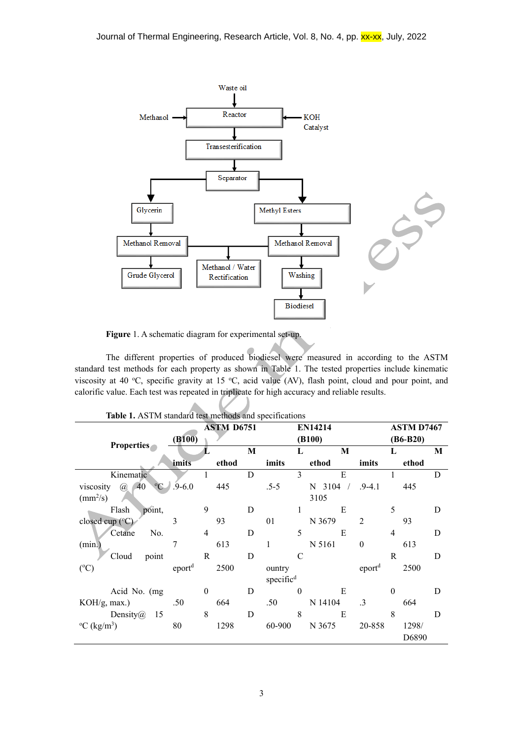

**Figure** 1. A schematic diagram for experimental set-up.

The different properties of produced biodiesel were measured in according to the ASTM standard test methods for each property as shown in Table 1. The tested properties include kinematic viscosity at 40 °C, specific gravity at 15 °C, acid value (AV), flash point, cloud and pour point, and calorific value. Each test was repeated in triplicate for high accuracy and reliable results.

| <b>Properties</b>                          | (B100)             | <b>ASTM D6751</b> |       |   | <b>EN14214</b><br>(B100) |          |               |                    | <b>ASTM D7467</b><br>$(B6-B20)$ |       |   |
|--------------------------------------------|--------------------|-------------------|-------|---|--------------------------|----------|---------------|--------------------|---------------------------------|-------|---|
|                                            |                    | в.                |       | M |                          | L        | M             |                    | L                               |       | M |
|                                            | imits              |                   | ethod |   | imits                    |          | ethod         | imits              |                                 | ethod |   |
| Kinematic                                  |                    |                   |       | D |                          | 3        | E             |                    | 1                               |       | D |
| $-40$<br>$\rm ^{o}C$<br>viscosity $\omega$ | $.9 - 6.0$         |                   | 445   |   | $.5-5$                   |          | $3104$ /<br>N | $.9 - 4.1$         |                                 | 445   |   |
| $\text{(mm}^2\text{/s)}$                   |                    |                   |       |   |                          |          | 3105          |                    |                                 |       |   |
| Flash<br>point,                            |                    | 9                 |       | D |                          |          | E             |                    | 5                               |       | D |
| closed cup (°C)                            | 3                  |                   | 93    |   | 01                       |          | N 3679        | $\mathfrak{D}$     |                                 | 93    |   |
| No.<br>Cetane                              |                    | $\overline{4}$    |       | D |                          | 5        | E             |                    | $\overline{4}$                  |       | D |
| (min.)                                     | 7                  |                   | 613   |   |                          |          | N 5161        | $\boldsymbol{0}$   |                                 | 613   |   |
| Cloud<br>point                             |                    | $\mathbf R$       |       | D |                          | C        |               |                    | R                               |       | D |
| $({}^{\circ}C)$                            | eport <sup>d</sup> |                   | 2500  |   | ountry                   |          |               | eport <sup>d</sup> |                                 | 2500  |   |
|                                            |                    |                   |       |   | specific <sup>d</sup>    |          |               |                    |                                 |       |   |
| Acid No. (mg                               |                    | $\mathbf{0}$      |       | D |                          | $\Omega$ | E             |                    | $\Omega$                        |       | D |
| KOH/g, max.)                               | .50                |                   | 664   |   | .50                      |          | N 14104       | $\cdot$ 3          |                                 | 664   |   |
| Density $\omega$<br>15                     |                    | 8                 |       | D |                          | 8        | E             |                    | 8                               |       | D |
| $\rm{^{\circ}C}$ (kg/m <sup>3</sup> )      | 80                 |                   | 1298  |   | 60-900                   |          | N 3675        | 20-858             |                                 | 1298/ |   |
|                                            |                    |                   |       |   |                          |          |               |                    |                                 | D6890 |   |

**Table 1.** ASTM standard test methods and specifications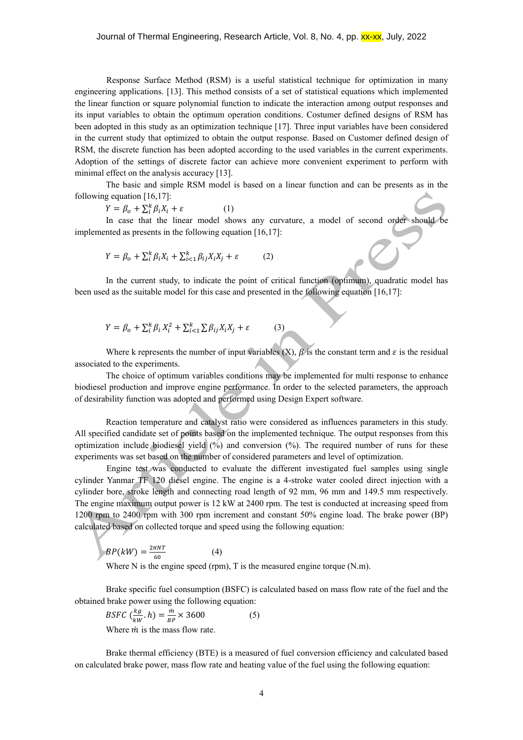Response Surface Method (RSM) is a useful statistical technique for optimization in many engineering applications. [13]. This method consists of a set of statistical equations which implemented the linear function or square polynomial function to indicate the interaction among output responses and its input variables to obtain the optimum operation conditions. Costumer defined designs of RSM has been adopted in this study as an optimization technique [17]. Three input variables have been considered in the current study that optimized to obtain the output response. Based on Customer defined design of RSM, the discrete function has been adopted according to the used variables in the current experiments. Adoption of the settings of discrete factor can achieve more convenient experiment to perform with minimal effect on the analysis accuracy [13].

The basic and simple RSM model is based on a linear function and can be presents as in the following equation [16,17]:

$$
Y = \beta_o + \sum_{i}^{k} \beta_i X_i + \varepsilon \tag{1}
$$

In case that the linear model shows any curvature, a model of second order should be implemented as presents in the following equation [16,17]:

$$
Y = \beta_o + \sum_{i}^{k} \beta_i X_i + \sum_{i < 1}^{k} \beta_{ij} X_i X_j + \varepsilon \tag{2}
$$

In the current study, to indicate the point of critical function (optimum), quadratic model has been used as the suitable model for this case and presented in the following equation [16,17]:

$$
Y = \beta_o + \sum_{i}^{k} \beta_i X_i^2 + \sum_{i < 1}^{k} \sum \beta_{ij} X_i X_j + \varepsilon \tag{3}
$$

Where k represents the number of input variables  $(X)$ ,  $\beta$  is the constant term and  $\varepsilon$  is the residual associated to the experiments.

The choice of optimum variables conditions may be implemented for multi response to enhance biodiesel production and improve engine performance. In order to the selected parameters, the approach of desirability function was adopted and performed using Design Expert software.

Reaction temperature and catalyst ratio were considered as influences parameters in this study. All specified candidate set of points based on the implemented technique. The output responses from this optimization include biodiesel yield  $(\frac{%}{%})$  and conversion  $(\frac{%}{%})$ . The required number of runs for these experiments was set based on the number of considered parameters and level of optimization.

Engine test was conducted to evaluate the different investigated fuel samples using single cylinder Yanmar TF 120 diesel engine. The engine is a 4-stroke water cooled direct injection with a cylinder bore, stroke length and connecting road length of 92 mm, 96 mm and 149.5 mm respectively. The engine maximum output power is 12 kW at 2400 rpm. The test is conducted at increasing speed from 1200 rpm to 2400 rpm with 300 rpm increment and constant 50% engine load. The brake power (BP) calculated based on collected torque and speed using the following equation:

$$
BP(kW) = \frac{2\pi NT}{60}
$$
 (4)  
Where N is the engine speed (rpm), T is the measured engine torque (N.m).

Brake specific fuel consumption (BSFC) is calculated based on mass flow rate of the fuel and the obtained brake power using the following equation:

BSPC 
$$
\left(\frac{kg}{kW} \cdot h\right) = \frac{\dot{m}}{BP} \times 3600
$$
 (5)  
Where *m* is the mass flow rate.

Brake thermal efficiency (BTE) is a measured of fuel conversion efficiency and calculated based on calculated brake power, mass flow rate and heating value of the fuel using the following equation: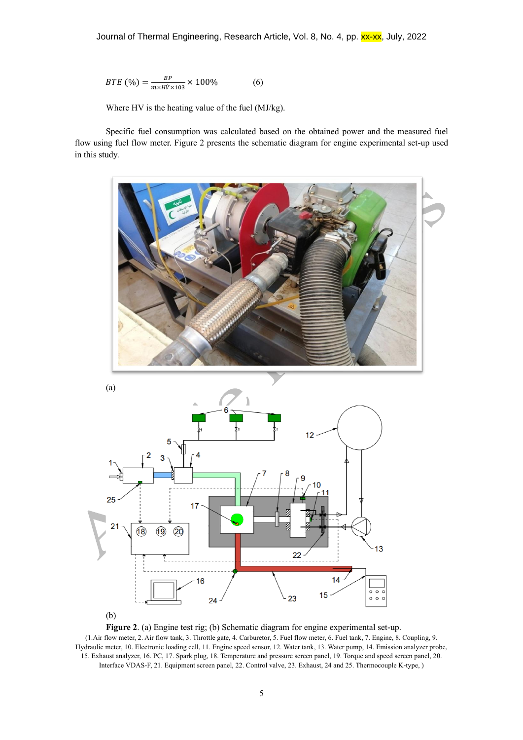$$
BTE\,\,(\%) = \frac{BP}{m \times H\dot{V} \times 103} \times 100\,\,(6)
$$

Where HV is the heating value of the fuel (MJ/kg).

Specific fuel consumption was calculated based on the obtained power and the measured fuel flow using fuel flow meter. Figure 2 presents the schematic diagram for engine experimental set-up used in this study.



(b)

**Figure 2**. (a) Engine test rig; (b) Schematic diagram for engine experimental set-up. (1.Air flow meter, 2. Air flow tank, 3. Throttle gate, 4. Carburetor, 5. Fuel flow meter, 6. Fuel tank, 7. Engine, 8. Coupling, 9. Hydraulic meter, 10. Electronic loading cell, 11. Engine speed sensor, 12. Water tank, 13. Water pump, 14. Emission analyzer probe, 15. Exhaust analyzer, 16. PC, 17. Spark plug, 18. Temperature and pressure screen panel, 19. Torque and speed screen panel, 20. Interface VDAS-F, 21. Equipment screen panel, 22. Control valve, 23. Exhaust, 24 and 25. Thermocouple K-type, )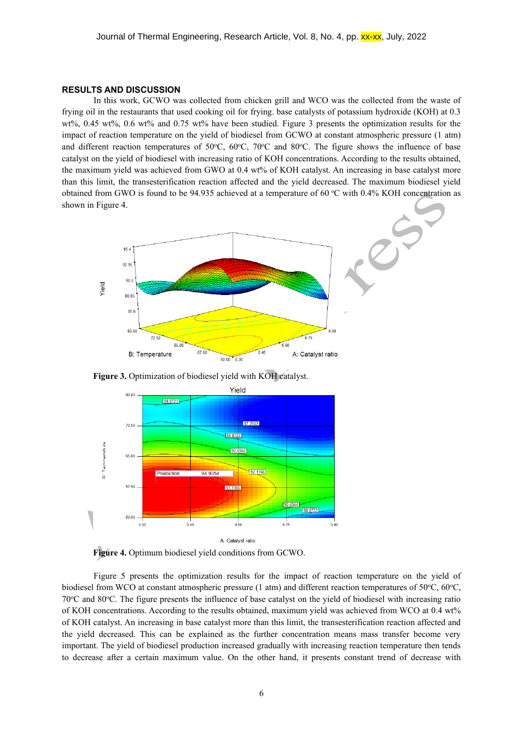#### **RESULTS AND DISCUSSION**

In this work, GCWO was collected from chicken grill and WCO was the collected from the waste of frying oil in the restaurants that used cooking oil for frying. base catalysts of potassium hydroxide (KOH) at 0.3 wt%, 0.45 wt%, 0.6 wt% and 0.75 wt% have been studied. Figure 3 presents the optimization results for the impact of reaction temperature on the yield of biodiesel from GCWO at constant atmospheric pressure (1 atm) and different reaction temperatures of 50 $^{\circ}$ C, 60 $^{\circ}$ C, 70 $^{\circ}$ C and 80 $^{\circ}$ C. The figure shows the influence of base catalyst on the yield of biodiesel with increasing ratio of KOH concentrations. According to the results obtained, the maximum yield was achieved from GWO at 0.4 wt% of KOH catalyst. An increasing in base catalyst more than this limit, the transesterification reaction affected and the yield decreased. The maximum biodiesel yield obtained from GWO is found to be 94.935 achieved at a temperature of 60 °C with 0.4% KOH concentration as shown in Figure 4.







**Figure 4.** Optimum biodiesel yield conditions from GCWO.

Figure 5 presents the optimization results for the impact of reaction temperature on the yield of biodiesel from WCO at constant atmospheric pressure (1 atm) and different reaction temperatures of 50 $^{\circ}$ C, 60 $^{\circ}$ C, 70<sup>o</sup>C and 80<sup>o</sup>C. The figure presents the influence of base catalyst on the yield of biodiesel with increasing ratio of KOH concentrations. According to the results obtained, maximum yield was achieved from WCO at 0.4 wt% of KOH catalyst. An increasing in base catalyst more than this limit, the transesterification reaction affected and the yield decreased. This can be explained as the further concentration means mass transfer become very important. The yield of biodiesel production increased gradually with increasing reaction temperature then tends to decrease after a certain maximum value. On the other hand, it presents constant trend of decrease with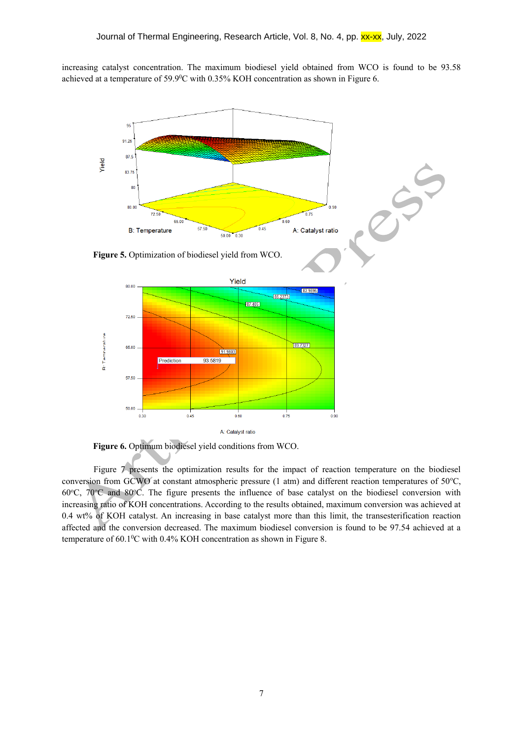increasing catalyst concentration. The maximum biodiesel yield obtained from WCO is found to be 93.58 achieved at a temperature of  $59.9^{\circ}$ C with 0.35% KOH concentration as shown in Figure 6.



**Figure 6.** Optimum biodiesel yield conditions from WCO.

Figure 7 presents the optimization results for the impact of reaction temperature on the biodiesel conversion from GCWO at constant atmospheric pressure (1 atm) and different reaction temperatures of  $50^{\circ}$ C, 60 $^{\circ}$ C, 70 $^{\circ}$ C and 80 $^{\circ}$ C. The figure presents the influence of base catalyst on the biodiesel conversion with increasing ratio of KOH concentrations. According to the results obtained, maximum conversion was achieved at 0.4 wt% of KOH catalyst. An increasing in base catalyst more than this limit, the transesterification reaction affected and the conversion decreased. The maximum biodiesel conversion is found to be 97.54 achieved at a temperature of 60.1°C with 0.4% KOH concentration as shown in Figure 8.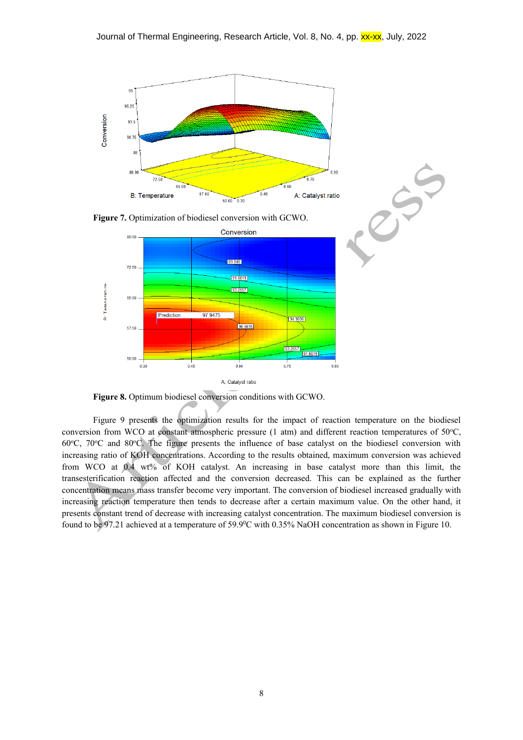

A: Catalyst ratio

**Figure 8.** Optimum biodiesel conversion conditions with GCWO.

Figure 9 presents the optimization results for the impact of reaction temperature on the biodiesel conversion from WCO at constant atmospheric pressure  $(1 \text{ atm})$  and different reaction temperatures of 50°C, 60 $^{\circ}$ C, 70 $^{\circ}$ C and 80 $^{\circ}$ C. The figure presents the influence of base catalyst on the biodiesel conversion with increasing ratio of KOH concentrations. According to the results obtained, maximum conversion was achieved from WCO at 0.4 wt% of KOH catalyst. An increasing in base catalyst more than this limit, the transesterification reaction affected and the conversion decreased. This can be explained as the further concentration means mass transfer become very important. The conversion of biodiesel increased gradually with increasing reaction temperature then tends to decrease after a certain maximum value. On the other hand, it presents constant trend of decrease with increasing catalyst concentration. The maximum biodiesel conversion is found to be 97.21 achieved at a temperature of 59.90C with 0.35% NaOH concentration as shown in Figure 10.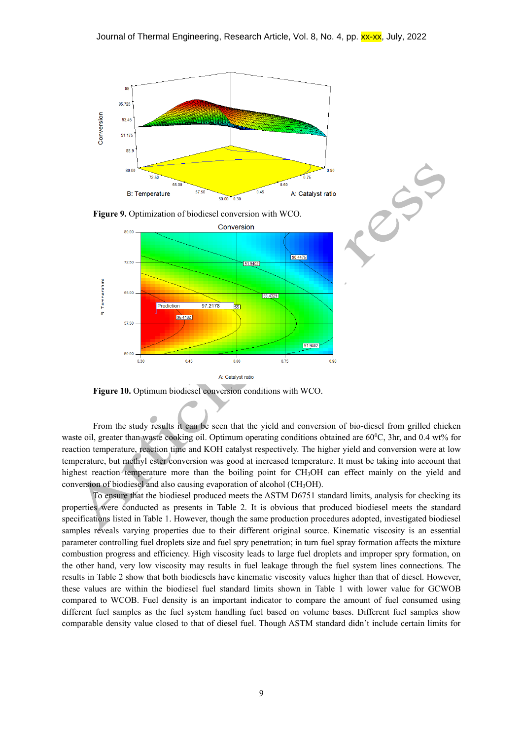

Figure 10. Optimum biodiesel conversion conditions with WCO.

From the study results it can be seen that the yield and conversion of bio-diesel from grilled chicken waste oil, greater than waste cooking oil. Optimum operating conditions obtained are 60<sup>0</sup>C, 3hr, and 0.4 wt% for reaction temperature, reaction time and KOH catalyst respectively. The higher yield and conversion were at low temperature, but methyl ester conversion was good at increased temperature. It must be taking into account that highest reaction temperature more than the boiling point for CH3OH can effect mainly on the yield and conversion of biodiesel and also causing evaporation of alcohol (CH3OH).

To ensure that the biodiesel produced meets the ASTM D6751 standard limits, analysis for checking its properties were conducted as presents in Table 2. It is obvious that produced biodiesel meets the standard specifications listed in Table 1. However, though the same production procedures adopted, investigated biodiesel samples reveals varying properties due to their different original source. Kinematic viscosity is an essential parameter controlling fuel droplets size and fuel spry penetration; in turn fuel spray formation affects the mixture combustion progress and efficiency. High viscosity leads to large fuel droplets and improper spry formation, on the other hand, very low viscosity may results in fuel leakage through the fuel system lines connections. The results in Table 2 show that both biodiesels have kinematic viscosity values higher than that of diesel. However, these values are within the biodiesel fuel standard limits shown in Table 1 with lower value for GCWOB compared to WCOB. Fuel density is an important indicator to compare the amount of fuel consumed using different fuel samples as the fuel system handling fuel based on volume bases. Different fuel samples show comparable density value closed to that of diesel fuel. Though ASTM standard didn't include certain limits for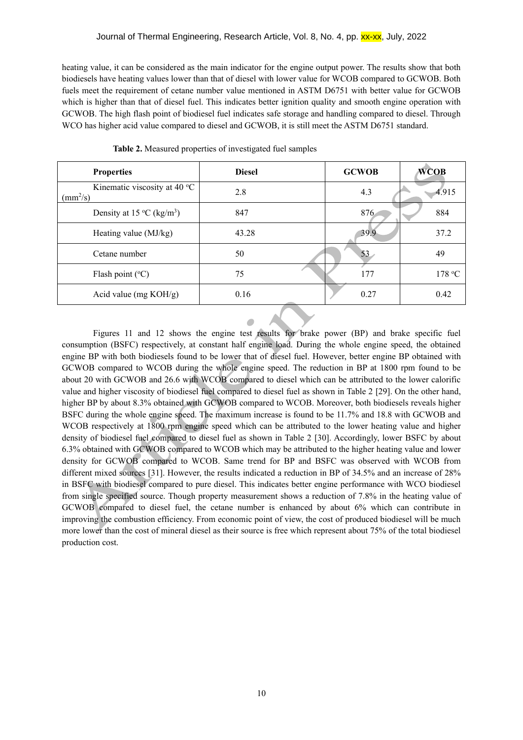heating value, it can be considered as the main indicator for the engine output power. The results show that both biodiesels have heating values lower than that of diesel with lower value for WCOB compared to GCWOB. Both fuels meet the requirement of cetane number value mentioned in ASTM D6751 with better value for GCWOB which is higher than that of diesel fuel. This indicates better ignition quality and smooth engine operation with GCWOB. The high flash point of biodiesel fuel indicates safe storage and handling compared to diesel. Through WCO has higher acid value compared to diesel and GCWOB, it is still meet the ASTM D6751 standard.

| <b>Properties</b>                                        | <b>Diesel</b> | <b>GCWOB</b> | <b>WCOB</b> |
|----------------------------------------------------------|---------------|--------------|-------------|
| Kinematic viscosity at 40 °C<br>$\text{(mm}^2/\text{s})$ | 2.8           | 4.3          | 4.915       |
| Density at 15 °C (kg/m <sup>3</sup> )                    | 847           | 876          | 884         |
| Heating value (MJ/kg)                                    | 43.28         | 39.9         | 37.2        |
| Cetane number                                            | 50            | 53           | 49          |
| Flash point $(^{\circ}C)$                                | 75            | 177          | 178 °C      |
| Acid value (mg $KOH/g$ )                                 | 0.16          | 0.27         | 0.42        |

**Table 2.** Measured properties of investigated fuel samples

Figures 11 and 12 shows the engine test results for brake power (BP) and brake specific fuel consumption (BSFC) respectively, at constant half engine load. During the whole engine speed, the obtained engine BP with both biodiesels found to be lower that of diesel fuel. However, better engine BP obtained with GCWOB compared to WCOB during the whole engine speed. The reduction in BP at 1800 rpm found to be about 20 with GCWOB and 26.6 with WCOB compared to diesel which can be attributed to the lower calorific value and higher viscosity of biodiesel fuel compared to diesel fuel as shown in Table 2 [29]. On the other hand, higher BP by about 8.3% obtained with GCWOB compared to WCOB. Moreover, both biodiesels reveals higher BSFC during the whole engine speed. The maximum increase is found to be 11.7% and 18.8 with GCWOB and WCOB respectively at 1800 rpm engine speed which can be attributed to the lower heating value and higher density of biodiesel fuel compared to diesel fuel as shown in Table 2 [30]. Accordingly, lower BSFC by about 6.3% obtained with GCWOB compared to WCOB which may be attributed to the higher heating value and lower density for GCWOB compared to WCOB. Same trend for BP and BSFC was observed with WCOB from different mixed sources [31]. However, the results indicated a reduction in BP of 34.5% and an increase of 28% in BSFC with biodiesel compared to pure diesel. This indicates better engine performance with WCO biodiesel from single specified source. Though property measurement shows a reduction of 7.8% in the heating value of GCWOB compared to diesel fuel, the cetane number is enhanced by about 6% which can contribute in improving the combustion efficiency. From economic point of view, the cost of produced biodiesel will be much more lower than the cost of mineral diesel as their source is free which represent about 75% of the total biodiesel production cost.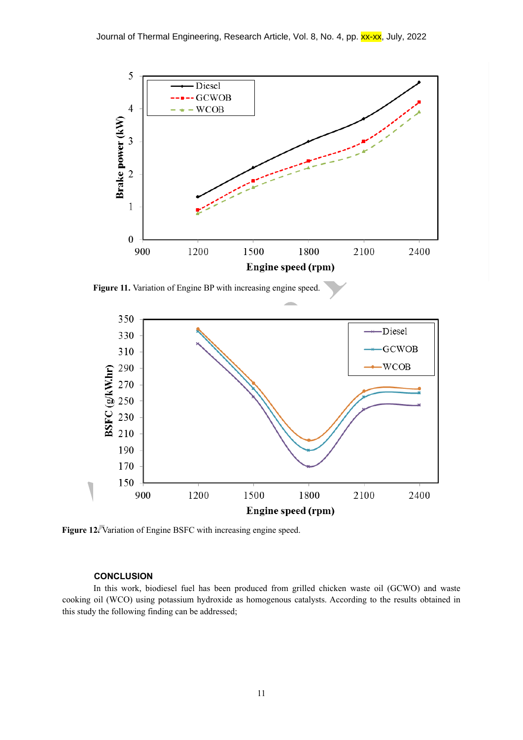

Figure 11. Variation of Engine BP with increasing engine speed.



Figure 12. Variation of Engine BSFC with increasing engine speed.

## **CONCLUSION**

In this work, biodiesel fuel has been produced from grilled chicken waste oil (GCWO) and waste cooking oil (WCO) using potassium hydroxide as homogenous catalysts. According to the results obtained in this study the following finding can be addressed;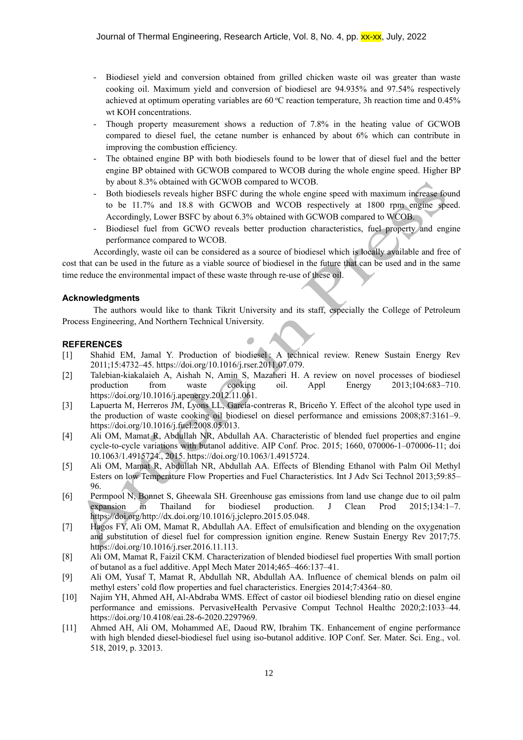- Biodiesel yield and conversion obtained from grilled chicken waste oil was greater than waste cooking oil. Maximum yield and conversion of biodiesel are 94.935% and 97.54% respectively achieved at optimum operating variables are  $60^{\circ}$ C reaction temperature, 3h reaction time and 0.45% wt KOH concentrations.
- Though property measurement shows a reduction of 7.8% in the heating value of GCWOB compared to diesel fuel, the cetane number is enhanced by about 6% which can contribute in improving the combustion efficiency.
- The obtained engine BP with both biodiesels found to be lower that of diesel fuel and the better engine BP obtained with GCWOB compared to WCOB during the whole engine speed. Higher BP by about 8.3% obtained with GCWOB compared to WCOB.
- Both biodiesels reveals higher BSFC during the whole engine speed with maximum increase found to be 11.7% and 18.8 with GCWOB and WCOB respectively at 1800 rpm engine speed. Accordingly, Lower BSFC by about 6.3% obtained with GCWOB compared to WCOB.
- Biodiesel fuel from GCWO reveals better production characteristics, fuel property and engine performance compared to WCOB.

Accordingly, waste oil can be considered as a source of biodiesel which is locally available and free of cost that can be used in the future as a viable source of biodiesel in the future that can be used and in the same time reduce the environmental impact of these waste through re-use of these oil.

#### **Acknowledgments**

The authors would like to thank Tikrit University and its staff, especially the College of Petroleum Process Engineering, And Northern Technical University.

## **REFERENCES**

- [1] Shahid EM, Jamal Y. Production of biodiesel : A technical review. Renew Sustain Energy Rev 2011;15:4732–45. https://doi.org/10.1016/j.rser.2011.07.079.
- [2] Talebian-kiakalaieh A, Aishah N, Amin S, Mazaheri H. A review on novel processes of biodiesel production from waste cooking oil. Appl Energy 2013;104:683–710. https://doi.org/10.1016/j.apenergy.2012.11.061.
- [3] Lapuerta M, Herreros JM, Lyons LL, García-contreras R, Briceño Y. Effect of the alcohol type used in the production of waste cooking oil biodiesel on diesel performance and emissions 2008;87:3161–9. https://doi.org/10.1016/j.fuel.2008.05.013.
- [4] Ali OM, Mamat R, Abdullah NR, Abdullah AA. Characteristic of blended fuel properties and engine cycle-to-cycle variations with butanol additive. AIP Conf. Proc. 2015; 1660, 070006-1–070006-11; doi 10.1063/1.4915724., 2015. https://doi.org/10.1063/1.4915724.
- [5] Ali OM, Mamat R, Abdullah NR, Abdullah AA. Effects of Blending Ethanol with Palm Oil Methyl Esters on low Temperature Flow Properties and Fuel Characteristics. Int J Adv Sci Technol 2013;59:85– 96.
- [6] Permpool N, Bonnet S, Gheewala SH. Greenhouse gas emissions from land use change due to oil palm expansion in Thailand for biodiesel production. J Clean Prod 2015;134:1–7. https://doi.org/http://dx.doi.org/10.1016/j.jclepro.2015.05.048.
- [7] Hagos FY, Ali OM, Mamat R, Abdullah AA. Effect of emulsification and blending on the oxygenation and substitution of diesel fuel for compression ignition engine. Renew Sustain Energy Rev 2017;75. https://doi.org/10.1016/j.rser.2016.11.113.
- [8] Ali OM, Mamat R, Faizil CKM. Characterization of blended biodiesel fuel properties With small portion of butanol as a fuel additive. Appl Mech Mater 2014;465–466:137–41.
- [9] Ali OM, Yusaf T, Mamat R, Abdullah NR, Abdullah AA. Influence of chemical blends on palm oil methyl esters' cold flow properties and fuel characteristics. Energies 2014;7:4364–80.
- [10] Najim YH, Ahmed AH, Al-Abdraba WMS. Effect of castor oil biodiesel blending ratio on diesel engine performance and emissions. PervasiveHealth Pervasive Comput Technol Healthc 2020;2:1033–44. https://doi.org/10.4108/eai.28-6-2020.2297969.
- [11] Ahmed AH, Ali OM, Mohammed AE, Daoud RW, Ibrahim TK. Enhancement of engine performance with high blended diesel-biodiesel fuel using iso-butanol additive. IOP Conf. Ser. Mater. Sci. Eng., vol. 518, 2019, p. 32013.